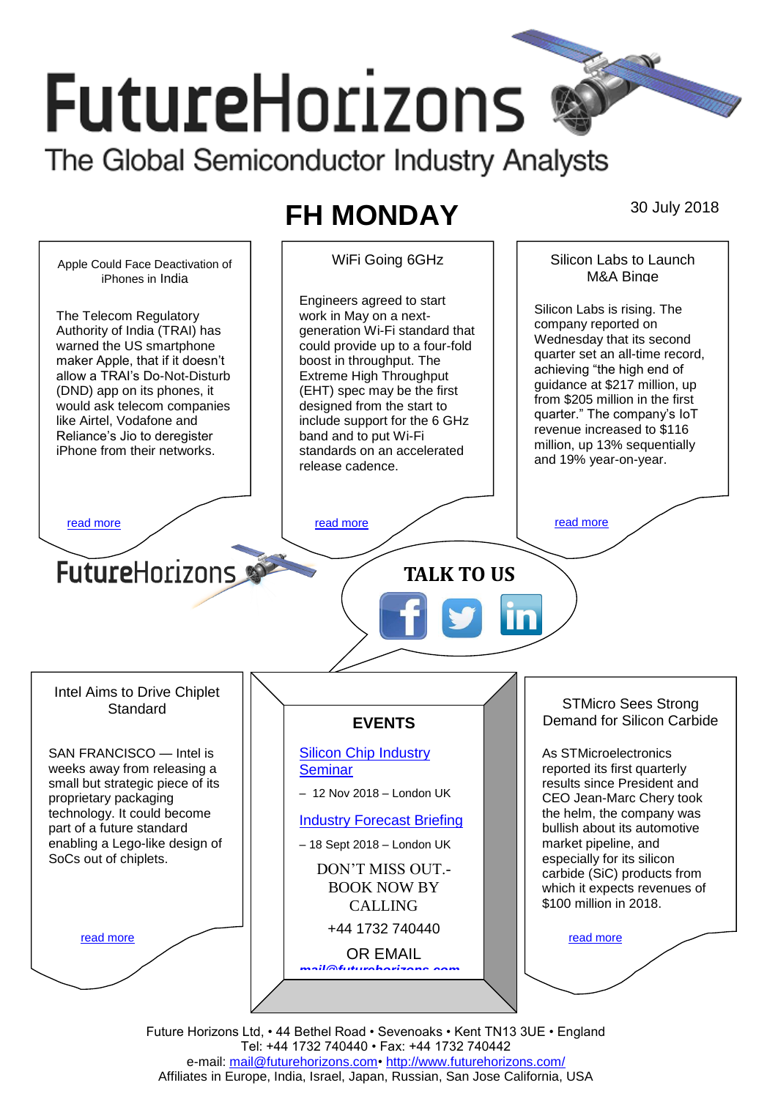# **FutureHorizons** The Global Semiconductor Industry Analysts

## **FH MONDAY** 30 July 2018



Future Horizons Ltd, • 44 Bethel Road • Sevenoaks • Kent TN13 3UE • England Tel: +44 1732 740440 • Fax: +44 1732 740442 e-mail: [mail@futurehorizons.com•](../FH%20Monday%20-%202017/mail@futurehorizons.com)<http://www.futurehorizons.com/> Affiliates in Europe, India, Israel, Japan, Russian, San Jose California, USA